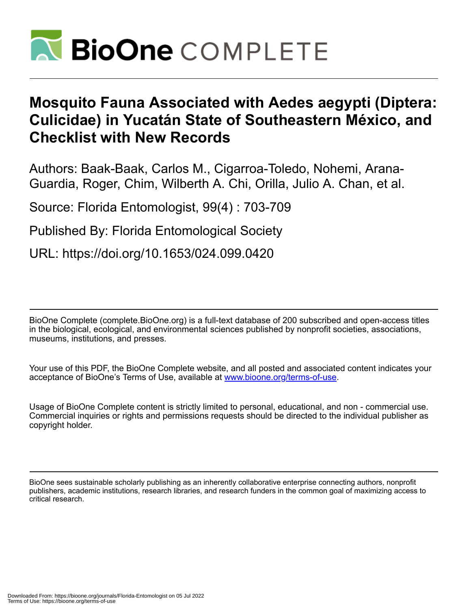

# **Mosquito Fauna Associated with Aedes aegypti (Diptera: Culicidae) in Yucatán State of Southeastern México, and Checklist with New Records**

Authors: Baak-Baak, Carlos M., Cigarroa-Toledo, Nohemi, Arana-Guardia, Roger, Chim, Wilberth A. Chi, Orilla, Julio A. Chan, et al.

Source: Florida Entomologist, 99(4) : 703-709

Published By: Florida Entomological Society

URL: https://doi.org/10.1653/024.099.0420

BioOne Complete (complete.BioOne.org) is a full-text database of 200 subscribed and open-access titles in the biological, ecological, and environmental sciences published by nonprofit societies, associations, museums, institutions, and presses.

Your use of this PDF, the BioOne Complete website, and all posted and associated content indicates your acceptance of BioOne's Terms of Use, available at www.bioone.org/terms-of-use.

Usage of BioOne Complete content is strictly limited to personal, educational, and non - commercial use. Commercial inquiries or rights and permissions requests should be directed to the individual publisher as copyright holder.

BioOne sees sustainable scholarly publishing as an inherently collaborative enterprise connecting authors, nonprofit publishers, academic institutions, research libraries, and research funders in the common goal of maximizing access to critical research.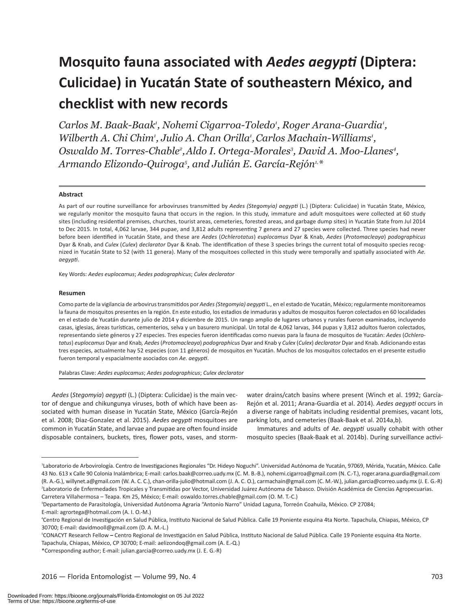# **Mosquito fauna associated with** *Aedes aegypti* **(Diptera: Culicidae) in Yucatán State of southeastern México, and checklist with new records**

*Carlos M. Baak-Baak1 , Nohemi Cigarroa-Toledo1 , Roger Arana-Guardia1 , Wilberth A. Chi Chim<sup>1</sup>, Julio A. Chan Orilla<sup>1</sup>, Carlos Machain-Williams<sup>1</sup>,* Oswaldo M. Torres-Chable<sup>2</sup>, Aldo I. Ortega-Morales<sup>3</sup>, David A. Moo-Llanes<sup>4</sup>, *Armando Elizondo-Quiroga5 , and Julián E. García-Rejón1,\**

#### **Abstract**

As part of our routine surveillance for arboviruses transmitted by *Aedes (Stegomyia) aegypti* (L.) (Diptera: Culicidae) in Yucatán State, México, we regularly monitor the mosquito fauna that occurs in the region. In this study, immature and adult mosquitoes were collected at 60 study sites (including residential premises, churches, tourist areas, cemeteries, forested areas, and garbage dump sites) in Yucatán State from Jul 2014 to Dec 2015. In total, 4,062 larvae, 344 pupae, and 3,812 adults representing 7 genera and 27 species were collected. Three species had never before been identified in Yucatán State, and these are *Aedes* (*Ochlerotatus*) *euplocamus* Dyar & Knab, *Aedes* (*Protomacleaya*) *podographicus*  Dyar & Knab, and *Culex* (*Culex*) *declarator* Dyar & Knab*.* The identification of these 3 species brings the current total of mosquito species recognized in Yucatán State to 52 (with 11 genera). Many of the mosquitoes collected in this study were temporally and spatially associated with *Ae. aegypti*.

Key Words: *Aedes euplocamus*; *Aedes podographicus*; *Culex declarator*

#### **Resumen**

Como parte de la vigilancia de arbovirus transmitidos por *Aedes (Stegomyia) aegypti* L., en el estado de Yucatán, México; regularmente monitoreamos la fauna de mosquitos presentes en la región. En este estudio, los estadios de inmaduras y adultos de mosquitos fueron colectados en 60 localidades en el estado de Yucatán durante julio de 2014 y diciembre de 2015. Un rango amplio de lugares urbanos y rurales fueron examinados, incluyendo casas, iglesias, áreas turísticas, cementerios, selva y un basurero municipal. Un total de 4,062 larvas, 344 pupas y 3,812 adultos fueron colectados, representando siete géneros y 27 especies. Tres especies fueron identificadas como nuevas para la fauna de mosquitos de Yucatán: *Aedes* (*Ochlerotatus*) *euplocamus* Dyar and Knab*, Aedes* (*Protomacleaya*) *podographicus* Dyar and Knab y *Culex* (*Culex*) *declarator* Dyar and Knab*.* Adicionando estas tres especies, actualmente hay 52 especies (con 11 géneros) de mosquitos en Yucatán. Muchos de los mosquitos colectados en el presente estudio fueron temporal y espacialmente asociados con *Ae. aegypti*.

Palabras Clave: *Aedes euplocamus*; *Aedes podographicus*; *Culex declarator*

*Aedes* (*Stegomyia*) *aegypti* (L.) (Diptera: Culicidae) is the main vector of dengue and chikungunya viruses, both of which have been associated with human disease in Yucatán State, México (García-Rejón et al. 2008; Diaz-Gonzalez et al. 2015). *Aedes aegypti* mosquitoes are common in Yucatán State, and larvae and pupae are often found inside disposable containers, buckets, tires, flower pots, vases, and stormwater drains/catch basins where present (Winch et al. 1992; García-Rejón et al. 2011; Arana-Guardia et al. 2014). *Aedes aegypti* occurs in a diverse range of habitats including residential premises, vacant lots, parking lots, and cemeteries (Baak-Baak et al. 2014a,b).

Immatures and adults of *Ae. aegypti* usually cohabit with other mosquito species (Baak-Baak et al. 2014b). During surveillance activi-

<sup>1</sup> Laboratorio de Arbovirología. Centro de Investigaciones Regionales "Dr. Hideyo Noguchi". Universidad Autónoma de Yucatán, 97069, Mérida, Yucatán, México. Calle 43 No. 613 x Calle 90 Colonia Inalámbrica; E-mail: carlos.baak@correo.uady.mx (C. M. B.-B.), nohemi.cigarroa@gmail.com (N. C.-T.), roger.arana.guardia@gmail.com (R. A.-G.), willynet.a@gmail.com (W. A. C. C.), chan-orilla-julio@hotmail.com (J. A. C. O.), carmachain@gmail.com (C. M.-W.), julian.garcia@correo.uady.mx (J. E. G.-R) 2 Laboratorio de Enfermedades Tropicales y Transmitidas por Vector, Universidad Juárez Autónoma de Tabasco. División Académica de Ciencias Agropecuarias. Carretera Villahermosa – Teapa. Km 25, México; E-mail: oswaldo.torres.chable@gmail.com (O. M. T.-C.)

<sup>3</sup> Departamento de Parasitología, Universidad Autónoma Agraria "Antonio Narro" Unidad Laguna, Torreón Coahuila, México. CP 27084;

E-mail: agrortega@hotmail.com (A. I. O.-M.)

<sup>4</sup> Centro Regional de Investigación en Salud Pública, Instituto Nacional de Salud Pública. Calle 19 Poniente esquina 4ta Norte. Tapachula, Chiapas, México, CP 30700; E-mail: davidmooll@gmail.com (D. A. M.-L.)

<sup>5</sup> CONACYT Research Fellow **–** Centro Regional de Investigación en Salud Pública, Instituto Nacional de Salud Pública. Calle 19 Poniente esquina 4ta Norte. Tapachula, Chiapas, México, CP 30700; E-mail: aelizondoq@gmail.com (A. E.-Q.)

<sup>\*</sup>Corresponding author; E-mail: julian.garcia@correo.uady.mx (J. E. G.-R)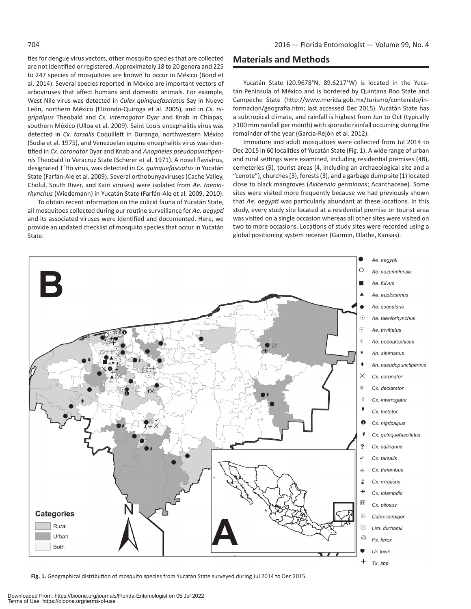ties for dengue virus vectors, other mosquito species that are collected are not identified or registered. Approximately 18 to 20 genera and 225 to 247 species of mosquitoes are known to occur in México (Bond et al. 2014). Several species reported in México are important vectors of arboviruses that affect humans and domestic animals. For example, West Nile virus was detected in *Culex quinquefasciatus* Say in Nuevo León, northern México (Elizondo-Quiroga et al. 2005), and in *Cx. nigripalpus* Theobald and *Cx. interrogator* Dyar and Knab in Chiapas, southern México (Ulloa et al. 2009). Saint Louis encephalitis virus was detected in *Cx. tarsalis* Coquillett in Durango, northwestern México (Sudia et al. 1975), and Venezuelan equine encephalitis virus was identified in *Cx. coronator* Dyar and Knab and *Anopheles pseudopunctipennis* Theobald in Veracruz State (Scherer et al. 1971). A novel flavivirus, designated T´Ho virus, was detected in *Cx. quinquefasciatus* in Yucatán State (Farfán-Ale et al. 2009)*.* Several orthobunyaviruses (Cache Valley, Cholul, South River, and Kairi viruses) were isolated from *Ae. taeniorhynchus* (Wiedemann) in Yucatán State (Farfán-Ale et al. 2009, 2010).

To obtain recent information on the culicid fauna of Yucatán State, all mosquitoes collected during our routine surveillance for *Ae. aegypti* and its associated viruses were identified and documented. Here, we provide an updated checklist of mosquito species that occur in Yucatán State.

# **Materials and Methods**

Yucatán State (20.9678°N, 89.6217°W) is located in the Yucatán Peninsula of México and is bordered by Quintana Roo State and Campeche State (http://www.merida.gob.mx/turismo/contenido/informacion/geografia.htm; last accessed Dec 2015). Yucatán State has a subtropical climate, and rainfall is highest from Jun to Oct (typically >100 mm rainfall per month) with sporadic rainfall occurring during the remainder of the year (García-Rejón et al. 2012).

Immature and adult mosquitoes were collected from Jul 2014 to Dec 2015 in 60 localities of Yucatán State (Fig. 1). A wide range of urban and rural settings were examined, including residential premises (48), cemeteries (5), tourist areas (4, including an archaeological site and a "cenote"), churches (3), forests (3), and a garbage dump site (1) located close to black mangroves (*Avicennia germinans*; Acanthaceae). Some sites were visited more frequently because we had previously shown that *Ae. aegypti* was particularly abundant at these locations. In this study, every study site located at a residential premise or tourist area was visited on a single occasion whereas all other sites were visited on two to more occasions. Locations of study sites were recorded using a global positioning system receiver (Garmin, Olathe, Kansas).



**Fig. 1.** Geographical distribution of mosquito species from Yucatán State surveyed during Jul 2014 to Dec 2015.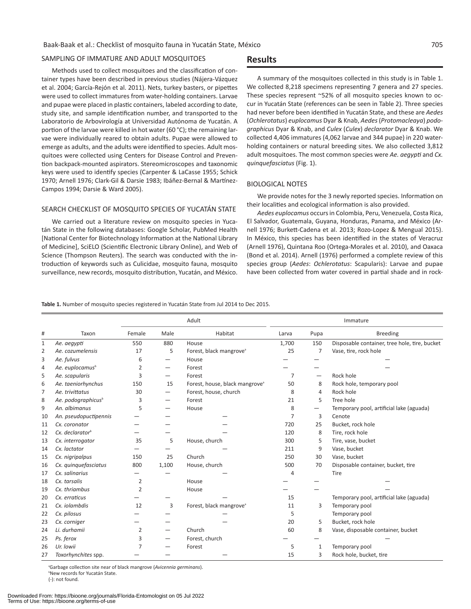### SAMPLING OF IMMATURE AND ADULT MOSQUITOES

Methods used to collect mosquitoes and the classification of container types have been described in previous studies (Nájera-Vázquez et al. 2004; García-Rejón et al. 2011). Nets, turkey basters, or pipettes were used to collect immatures from water-holding containers. Larvae and pupae were placed in plastic containers, labeled according to date, study site, and sample identification number, and transported to the Laboratorio de Arbovirología at Universidad Autónoma de Yucatán. A portion of the larvae were killed in hot water (60 °C); the remaining larvae were individually reared to obtain adults. Pupae were allowed to emerge as adults, and the adults were identified to species. Adult mosquitoes were collected using Centers for Disease Control and Prevention backpack-mounted aspirators. Stereomicroscopes and taxonomic keys were used to identify species (Carpenter & LaCasse 1955; Schick 1970; Arnell 1976; Clark-Gil & Darsie 1983; Ibáñez-Bernal & Martínez-Campos 1994; Darsie & Ward 2005).

### SEARCH CHECKLIST OF MOSQUITO SPECIES OF YUCATÁN STATE

We carried out a literature review on mosquito species in Yucatán State in the following databases: Google Scholar, PubMed Health [National Center for Biotechnology Information at the National Library of Medicine], SciELO (Scientific Electronic Library Online), and Web of Science (Thompson Reuters). The search was conducted with the introduction of keywords such as Culicidae, mosquito fauna, mosquito surveillance, new records, mosquito distribution, Yucatán, and México.

# **Results**

A summary of the mosquitoes collected in this study is in Table 1. We collected 8,218 specimens representing 7 genera and 27 species. These species represent ~52% of all mosquito species known to occur in Yucatán State (references can be seen in Table 2). Three species had never before been identified in Yucatán State, and these are *Aedes*  (*Ochlerotatus*) *euplocamus* Dyar & Knab, *Aedes* (*Protomacleaya*) *podographicus* Dyar & Knab, and *Culex* (*Culex*) *declarator* Dyar & Knab. We collected 4,406 immatures (4,062 larvae and 344 pupae) in 220 waterholding containers or natural breeding sites. We also collected 3,812 adult mosquitoes. The most common species were *Ae. aegypti* and *Cx. quinquefasciatus* (Fig. 1).

#### BIOLOGICAL NOTES

We provide notes for the 3 newly reported species. Information on their localities and ecological information is also provided.

*Aedes euplocamus* occurs in Colombia, Peru, Venezuela, Costa Rica, El Salvador, Guatemala, Guyana, Honduras, Panama, and México (Arnell 1976; Burkett-Cadena et al. 2013; Rozo-Lopez & Mengual 2015). In México, this species has been identified in the states of Veracruz (Arnell 1976), Quintana Roo (Ortega-Morales et al. 2010), and Oaxaca (Bond et al. 2014). Arnell (1976) performed a complete review of this species group (*Aedes*: *Ochlerotatus*: Scapularis): Larvae and pupae have been collected from water covered in partial shade and in rock-

**Table 1.** Number of mosquito species registered in Yucatán State from Jul 2014 to Dec 2015.

|                |                                |                |       | Adult                                      | Immature       |                |                                               |
|----------------|--------------------------------|----------------|-------|--------------------------------------------|----------------|----------------|-----------------------------------------------|
| #              | Taxon                          | Female         | Male  | Habitat                                    | Larva          | Pupa           | <b>Breeding</b>                               |
| 1              | Ae. aegypti                    | 550            | 880   | House                                      | 1,700          | 150            | Disposable container, tree hole, tire, bucket |
| $\overline{2}$ | Ae. cozumelensis               | 17             | 5     | Forest, black mangrove <sup>®</sup>        | 25             | $\overline{7}$ | Vase, tire, rock hole                         |
| 3              | Ae. fulvus                     | 6              |       | House                                      |                |                |                                               |
| 4              | Ae. euplocamus <sup>b</sup>    | $\overline{2}$ | —     | Forest                                     |                |                |                                               |
| 5              | Ae. scapularis                 | 3              |       | Forest                                     | $\overline{7}$ |                | Rock hole                                     |
| 6              | Ae. taeniorhynchus             | 150            | 15    | Forest, house, black mangrove <sup>®</sup> | 50             | 8              | Rock hole, temporary pool                     |
| 7              | Ae. trivittatus                | 30             |       | Forest, house, church                      | 8              | 4              | Rock hole                                     |
| 8              | Ae. podographicus <sup>b</sup> | 3              |       | Forest                                     | 21             | 5              | Tree hole                                     |
| 9              | An. albimanus                  | 5              |       | House                                      | 8              |                | Temporary pool, artificial lake (aguada)      |
| 10             | An. pseudopuctipennis          |                |       |                                            | 7              | 3              | Cenote                                        |
| 11             | Cx. coronator                  |                |       |                                            | 720            | 25             | Bucket, rock hole                             |
| 12             | $Cx.$ declarator <sup>b</sup>  |                |       |                                            | 120            | 8              | Tire, rock hole                               |
| 13             | Cx. interrogator               | 35             | 5     | House, church                              | 300            | 5              | Tire, vase, bucket                            |
| 14             | Cx. lactator                   |                |       |                                            | 211            | 9              | Vase, bucket                                  |
| 15             | Cx. nigripalpus                | 150            | 25    | Church                                     | 250            | 30             | Vase, bucket                                  |
| 16             | Cx. quinquefasciatus           | 800            | 1,100 | House, church                              | 500            | 70             | Disposable container, bucket, tire            |
| 17             | Cx. salinarius                 |                |       |                                            | 4              |                | Tire                                          |
| 18             | Cx. tarsalis                   | $\overline{2}$ |       | House                                      |                |                |                                               |
| 19             | Cx. thriambus                  | 2              |       | House                                      |                |                |                                               |
| 20             | Cx. erraticus                  |                |       |                                            | 15             |                | Temporary pool, artificial lake (aguada)      |
| 21             | Cx. iolambdis                  | 12             | 3     | Forest, black mangrove <sup>®</sup>        | 11             | 3              | Temporary pool                                |
| 22             | Cx. pilosus                    |                |       |                                            | 5              |                | Temporary pool                                |
| 23             | Cx. corniger                   |                |       |                                            | 20             | 5              | Bucket, rock hole                             |
| 24             | Li. durhamii                   | $\overline{2}$ |       | Church                                     | 60             | 8              | Vase, disposable container, bucket            |
| 25             | Ps. ferox                      | 3              |       | Forest, church                             |                |                |                                               |
| 26             | Ur. Iowii                      | 7              |       | Forest                                     | 5              | 1              | Temporary pool                                |
| 27             | Toxorhynchites spp.            |                |       |                                            | 15             | 3              | Rock hole, bucket, tire                       |

a Garbage collection site near of black mangrove (*Avicennia germinans*). <sup>b</sup>New records for Yucatán State.

(-): not found.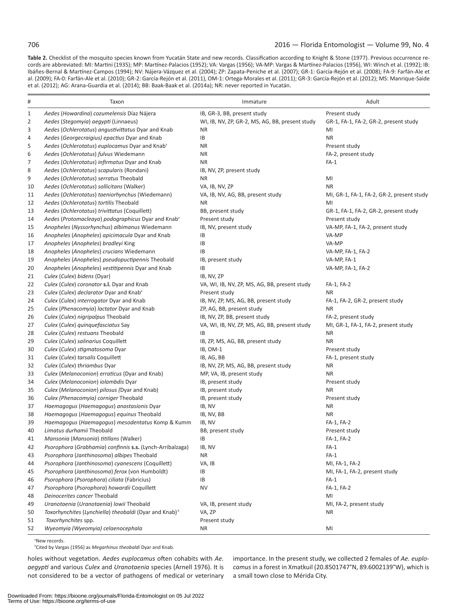### 2016 — Florida Entomologist — Volume 99, No. 4

Table 2. Checklist of the mosquito species known from Yucatán State and new records. Classification according to Knight & Stone (1977). Previous occurrence records are abbreviated: MI: Martini (1935); MP: Martínez-Palacios (1952); VA: Vargas (1956); VA-MP: Vargas & Martínez-Palacios (1956), WI: Winch et al. (1992); IB: Ibáñes-Bernal & Martínez-Campos (1994); NV: Nájera-Vázquez et al. (2004); ZP: Zapata-Peniche et al. (2007); GR-1: García-Rejón et al. (2008); FA-9: Farfán-Ale et al. (2009); FA-0: Farfán-Ale et al. (2010); GR-2: García-Rejón et al. (2011), OM-1: Ortega-Morales et al. (2011); GR-3: García-Rejón et al. (2012); MS: Manrique-Saide et al. (2012); AG: Arana-Guardia et al. (2014); BB: Baak-Baak et al. (2014a); NR: never reported in Yucatán.

| #            | Taxon                                                                                        | Immature                                        | Adult                                     |
|--------------|----------------------------------------------------------------------------------------------|-------------------------------------------------|-------------------------------------------|
| $\mathbf{1}$ | Aedes (Howardina) cozumelensis Díaz Nájera                                                   | IB, GR-3, BB, present study                     | Present study                             |
| 2            | Aedes (Stegomyia) aegypti (Linnaeus)                                                         | WI, IB, NV, ZP, GR-2, MS, AG, BB, present study | GR-1, FA-1, FA-2, GR-2, present study     |
| 3            | Aedes (Ochlerotatus) angustivittatus Dyar and Knab                                           | <b>NR</b>                                       | MI                                        |
| 4            | Aedes (Georgecraigius) epactius Dyar and Knab                                                | IB                                              | <b>NR</b>                                 |
| 5            | Aedes (Ochlerotatus) euplocamus Dyar and Knab <sup>a</sup>                                   | <b>NR</b>                                       | Present study                             |
| 6            | Aedes (Ochlerotatus) fulvus Wiedemann                                                        | <b>NR</b>                                       | FA-2, present study                       |
| 7            | Aedes (Ochlerotatus) infirmatus Dyar and Knab                                                | <b>NR</b>                                       | $FA-1$                                    |
| 8            | Aedes (Ochlerotatus) scapularis (Rondani)                                                    | IB, NV, ZP, present study                       |                                           |
| 9            | Aedes (Ochlerotatus) serratus Theobald                                                       | <b>NR</b>                                       | MI                                        |
| 10           | Aedes (Ochlerotatus) sollicitans (Walker)                                                    | VA, IB, NV, ZP                                  | <b>NR</b>                                 |
| 11           | Aedes (Ochlerotatus) taeniorhynchus (Wiedemann)                                              | VA, IB, NV, AG, BB, present study               | MI, GR-1, FA-1, FA-2, GR-2, present study |
| 12           | Aedes (Ochlerotatus) tortilis Theobald                                                       | <b>NR</b>                                       | MI                                        |
| 13           | Aedes (Ochlerotatus) trivittatus (Coquillett)                                                | BB, present study                               | GR-1, FA-1, FA-2, GR-2, present study     |
| 14           | Aedes (Protomacleaya) podographicus Dyar and Knab <sup>a</sup>                               | Present study                                   | Present study                             |
| 15           | Anopheles (Nyssorhynchus) albimanus Wiedemann                                                | IB, NV, present study                           | VA-MP, FA-1, FA-2, present study          |
| 16           | Anopheles (Anopheles) apicimacula Dyar and Knab                                              | IB                                              | VA-MP                                     |
| 17           | Anopheles (Anopheles) bradleyi King                                                          | IB                                              | VA-MP                                     |
| 18           | Anopheles (Anopheles) crucians Wiedemann                                                     | IB                                              | VA-MP, FA-1, FA-2                         |
| 19           | Anopheles (Anopheles) pseudopuctipennis Theobald                                             | IB, present study                               | VA-MP, FA-1                               |
| 20           | Anopheles (Anopheles) vestitipennis Dyar and Knab                                            | IB                                              | VA-MP, FA-1, FA-2                         |
| 21           | Culex (Culex) bidens (Dyar)                                                                  | IB. NV. ZP                                      |                                           |
| 22           | Culex (Culex) coronator s.l. Dyar and Knab                                                   | VA, WI, IB, NV, ZP, MS, AG, BB, present study   | FA-1, FA-2                                |
| 23           | Culex (Culex) declarator Dyar and Knab <sup>a</sup>                                          | Present study                                   | <b>NR</b>                                 |
| 24           | Culex (Culex) interrogator Dyar and Knab                                                     | IB, NV, ZP, MS, AG, BB, present study           | FA-1, FA-2, GR-2, present study           |
| 25           | Culex (Phenacomyia) lactator Dyar and Knab                                                   | ZP, AG, BB, present study                       | <b>NR</b>                                 |
| 26           | Culex (Culex) nigripalpus Theobald                                                           | IB, NV, ZP, BB, present study                   | FA-2, present study                       |
| 27           | Culex (Culex) quinquefasciatus Say                                                           | VA, WI, IB, NV, ZP, MS, AG, BB, present study   | MI, GR-1, FA-1, FA-2, present study       |
| 28           | Culex (Culex) restuans Theobald                                                              | IB                                              | <b>NR</b>                                 |
| 29           | Culex (Culex) salinarius Coquillett                                                          | IB, ZP, MS, AG, BB, present study               | <b>NR</b>                                 |
| 30           | Culex (Culex) stigmatosoma Dyar                                                              | IB, OM-1                                        | Present study                             |
| 31           | Culex (Culex) tarsalis Coquillett                                                            | IB, AG, BB                                      | FA-1, present study                       |
| 32           | Culex (Culex) thriambus Dyar                                                                 | IB, NV, ZP, MS, AG, BB, present study           | <b>NR</b>                                 |
| 33           | Culex (Melanoconion) erraticus (Dyar and Knab)                                               | MP, VA, IB, present study                       | <b>NR</b>                                 |
| 34           | Culex (Melanoconion) iolambdis Dyar                                                          | IB, present study                               | Present study                             |
| 35           | Culex (Melanoconion) pilosus (Dyar and Knab)                                                 | IB, present study                               | <b>NR</b>                                 |
| 36           | Culex (Phenacomyia) corniger Theobald                                                        | IB, present study                               | Present study                             |
| 37<br>38     | Haemagogus (Haemagogus) anastasionis Dyar                                                    | IB, NV                                          | <b>NR</b><br><b>NR</b>                    |
| 39           | Haemagogus (Haemagogus) equinus Theobald<br>Haemagogus (Haemagogus) mesodentatus Komp & Kumm | IB, NV, BB<br>IB, NV                            |                                           |
| 40           | Limatus durhamii Theobald                                                                    |                                                 | FA-1, FA-2<br>Present study               |
| 41           | Mansonia (Mansonia) titillans (Walker)                                                       | BB, present study<br>IB                         | FA-1, FA-2                                |
| 42           | Psorophora (Grabhamia) confinnis s.s. (Lynch-Arribalzaga)                                    | IB, NV                                          | $FA-1$                                    |
| 43           | Psorophora (Janthinosoma) albipes Theobald                                                   | <b>NR</b>                                       | $FA-1$                                    |
| 44           | Psorophora (Janthinosoma) cyanescens (Coquillett)                                            | VA, IB                                          | MI, FA-1, FA-2                            |
| 45           | Psorophora (Janthinosoma) ferox (von Humboldt)                                               | IB                                              | MI, FA-1, FA-2, present study             |
| 46           | Psorophora (Psorophora) ciliata (Fabricius)                                                  | IB                                              | $FA-1$                                    |
| 47           | Psorophora (Psorophora) howardii Coquillett                                                  | <b>NV</b>                                       | FA-1, FA-2                                |
| 48           | Deinocerites cancer Theobald                                                                 |                                                 | MI                                        |
| 49           | Uranotaenia (Uranotaenia) lowii Theobald                                                     | VA, IB, present study                           | MI, FA-2, present study                   |
| 50           | Toxorhynchites (Lynchiella) theobaldi (Dyar and Knab) <sup>b</sup>                           | VA, ZP                                          | <b>NR</b>                                 |
| 51           | Toxorhynchites spp.                                                                          | Present study                                   |                                           |
| 52           | Wyeomyia (Wyeomyia) celaenocephala                                                           | <b>NR</b>                                       | MI                                        |
|              |                                                                                              |                                                 |                                           |

a New records.

b Cited by Vargas (1956) as *Megarhinus theobaldi* Dyar and Knab.

holes without vegetation. *Aedes euplocamus* often cohabits with *Ae. aegypti* and various *Culex* and *Uranotaenia* species (Arnell 1976). It is not considered to be a vector of pathogens of medical or veterinary importance. In the present study, we collected 2 females of *Ae. euplocamus* in a forest in Xmatkuil (20.8501747°N, 89.6002139°W), which is a small town close to Mérida City.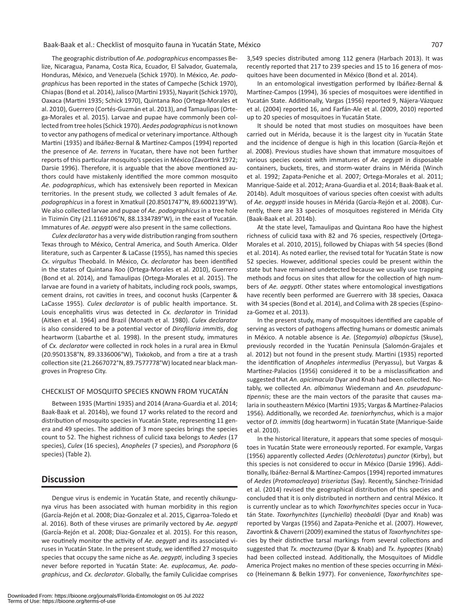### Baak-Baak et al.: Checklist of mosquito fauna in Yucatán State, México 707

The geographic distribution of *Ae. podographicus* encompasses Belize, Nicaragua, Panama, Costa Rica, Ecuador, El Salvador, Guatemala, Honduras, México, and Venezuela (Schick 1970). In México, *Ae. podographicus* has been reported in the states of Campeche (Schick 1970), Chiapas (Bond et al. 2014), Jalisco (Martini 1935), Nayarit (Schick 1970), Oaxaca (Martini 1935; Schick 1970), Quintana Roo (Ortega-Morales et al. 2010), Guerrero (Cortés-Guzmán et al. 2013), and Tamaulipas (Ortega-Morales et al. 2015). Larvae and pupae have commonly been collected from tree holes (Schick 1970). *Aedes podographicus* is not known to vector any pathogens of medical or veterinary importance. Although Martini (1935) and Ibáñez-Bernal & Martínez-Campos (1994) reported the presence of *Ae. terrens* in Yucatan, there have not been further reports of this particular mosquito's species in México (Zavortink 1972; Darsie 1996). Therefore, it is arguable that the above mentioned authors could have mistakenly identified the more common mosquito *Ae. podographicus*, which has extensively been reported in Mexican territories. In the present study, we collected 3 adult females of *Ae. podographicus* in a forest in Xmatkuil (20.8501747°N, 89.6002139°W). We also collected larvae and pupae of *Ae. podographicus* in a tree hole in Tizimín City (21.1169106°N, 88.1334789°W), in the east of Yucatán. Immatures of *Ae. aegypti* were also present in the same collections.

*Culex declarator* has a very wide distribution ranging from southern Texas through to México, Central America, and South America. Older literature, such as Carpenter & LaCasse (1955), has named this species *Cx. virgultus* Theobald. In México, *Cx. declarator* has been identified in the states of Quintana Roo (Ortega-Morales et al. 2010), Guerrero (Bond et al. 2014), and Tamaulipas (Ortega-Morales et al. 2015). The larvae are found in a variety of habitats, including rock pools, swamps, cement drains, rot cavities in trees, and coconut husks (Carpenter & LaCasse 1955). *Culex declarator* is of public health importance. St. Louis encephalitis virus was detected in *Cx. declarator* in Trinidad (Aitken et al. 1964) and Brazil (Monath et al. 1980). *Culex declarator* is also considered to be a potential vector of *Dirofilaria immitis*, dog heartworm (Labarthe et al. 1998). In the present study, immatures of *Cx. declarator* were collected in rock holes in a rural area in Ekmul (20.9501358°N, 89.3336006°W), Tixkokob, and from a tire at a trash collection site (21.2667072°N, 89.7577778°W) located near black mangroves in Progreso City.

#### CHECKLIST OF MOSQUITO SPECIES KNOWN FROM YUCATÁN

Between 1935 (Martini 1935) and 2014 (Arana-Guardia et al. 2014; Baak-Baak et al. 2014b), we found 17 works related to the record and distribution of mosquito species in Yucatán State, representing 11 genera and 49 species. The addition of 3 more species brings the species count to 52. The highest richness of culicid taxa belongs to *Aedes* (17 species), *Culex* (16 species), *Anopheles* (7 species), and *Psorophora* (6 species) (Table 2).

## **Discussion**

Dengue virus is endemic in Yucatán State, and recently chikungunya virus has been associated with human morbidity in this region (García-Rejón et al. 2008; Diaz-Gonzalez et al. 2015, Cigarroa-Toledo et al. 2016). Both of these viruses are primarily vectored by *Ae. aegypti* (García-Rejón et al. 2008; Diaz-Gonzalez et al. 2015). For this reason, we routinely monitor the activity of *Ae. aegypti* and its associated viruses in Yucatán State. In the present study, we identified 27 mosquito species that occupy the same niche as *Ae. aegypti*, including 3 species never before reported in Yucatán State: *Ae. euplocamus*, *Ae. podographicus*, and *Cx. declarator*. Globally, the family Culicidae comprises

3,549 species distributed among 112 genera (Harbach 2013). It was recently reported that 217 to 239 species and 15 to 16 genera of mosquitoes have been documented in México (Bond et al. 2014).

In an entomological investigation performed by Ibáñez-Bernal & Martínez-Campos (1994), 36 species of mosquitoes were identified in Yucatán State. Additionally, Vargas (1956) reported 9, Nájera-Vázquez et al. (2004) reported 16, and Farfán-Ale et al. (2009, 2010) reported up to 20 species of mosquitoes in Yucatán State.

It should be noted that most studies on mosquitoes have been carried out in Mérida, because it is the largest city in Yucatán State and the incidence of dengue is high in this location (García-Rejón et al. 2008). Previous studies have shown that immature mosquitoes of various species coexist with immatures of *Ae. aegypti* in disposable containers, buckets, tires, and storm-water drains in Mérida (Winch et al. 1992; Zapata-Peniche et al. 2007; Ortega-Morales et al. 2011; Manrique-Saide et al. 2012; Arana-Guardia et al. 2014; Baak-Baak et al. 2014b). Adult mosquitoes of various species often coexist with adults of *Ae. aegypti* inside houses in Mérida (García-Rejón et al. 2008). Currently, there are 33 species of mosquitoes registered in Mérida City (Baak-Baak et al. 2014b).

At the state level, Tamaulipas and Quintana Roo have the highest richness of culicid taxa with 82 and 76 species, respectively (Ortega-Morales et al. 2010, 2015), followed by Chiapas with 54 species (Bond et al. 2014). As noted earlier, the revised total for Yucatán State is now 52 species. However, additional species could be present within the state but have remained undetected because we usually use trapping methods and focus on sites that allow for the collection of high numbers of *Ae. aegypti*. Other states where entomological investigations have recently been performed are Guerrero with 38 species, Oaxaca with 34 species (Bond et al. 2014), and Colima with 28 species (Espinoza-Gomez et al. 2013).

In the present study, many of mosquitoes identified are capable of serving as vectors of pathogens affecting humans or domestic animals in México. A notable absence is *Ae.* (*Stegomyia*) *albopictus* (Skuse), previously recorded in the Yucatán Peninsula (Salomón-Grajales et al. 2012) but not found in the present study. Martini (1935) reported the identification of *Anopheles intermedius* (Peryassu), but Vargas & Martínez-Palacios (1956) considered it to be a misclassification and suggested that *An. apicimacula* Dyar and Knab had been collected. Notably, we collected *An. albimanus* Wiedemann and *An. pseudopunctipennis*; these are the main vectors of the parasite that causes malaria in southeastern México (Martini 1935; Vargas & Martínez-Palacios 1956). Additionally, we recorded *Ae. taeniorhynchus*, which is a major vector of *D. immitis* (dog heartworm) in Yucatán State (Manrique-Saide et al. 2010).

In the historical literature, it appears that some species of mosquitoes in Yucatán State were erroneously reported. For example, Vargas (1956) apparently collected *Aedes* (*Ochlerotatus*) *punctor* (Kirby), but this species is not considered to occur in México (Darsie 1996). Additionally, Ibáñez-Bernal & Martínez-Campos (1994) reported immatures of *Aedes* (*Protomacleaya*) *triseriatus* (Say). Recently, Sánchez-Trinidad et al. (2014) revised the geographical distribution of this species and concluded that it is only distributed in northern and central México. It is currently unclear as to which *Toxorhynchites* species occur in Yucatán State. *Toxorhynchites* (*Lynchiella*) *theobaldi* (Dyar and Knab) was reported by Vargas (1956) and Zapata-Peniche et al. (2007). However, Zavortink & Chaverri (2009) examined the status of *Toxorhynchites* species by their distinctive tarsal markings from several collections and suggested that *Tx. moctezuma* (Dyar & Knab) and *Tx. hypoptes* (Knab) had been collected instead*.* Additionally, the Mosquitoes of Middle America Project makes no mention of these species occurring in México (Heinemann & Belkin 1977). For convenience, *Toxorhynchites* spe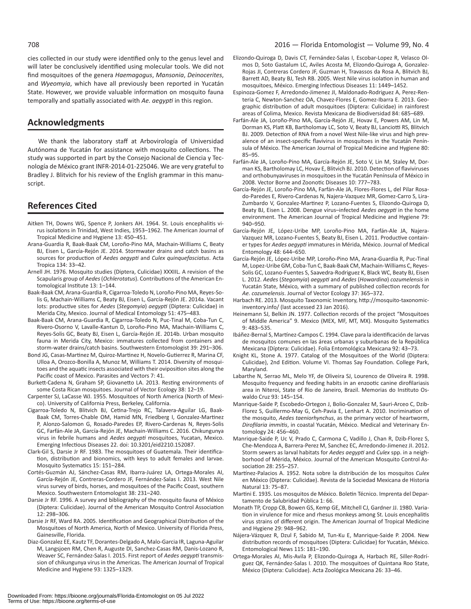cies collected in our study were identified only to the genus level and will later be conclusively identified using molecular tools. We did not find mosquitoes of the genera *Haemagogus*, *Mansonia*, *Deinocerites*, and *Wyeomyia*, which have all previously been reported in Yucatán State. However, we provide valuable information on mosquito fauna temporally and spatially associated with *Ae. aegypti* in this region.

# **Acknowledgments**

We thank the laboratory staff at Arbovirología of Universidad Autónoma de Yucatán for assistance with mosquito collections. The study was supported in part by the Consejo Nacional de Ciencia y Tecnología de México grant INFR-2014-01-225046. We are very grateful to Bradley J. Blitvich for his review of the English grammar in this manuscript.

# **References Cited**

- Aitken TH, Downs WG, Spence P, Jonkers AH. 1964. St. Louis encephalitis virus isolations in Trinidad, West Indies, 1953–1962. The American Journal of Tropical Medicine and Hygiene 13: 450–451.
- Arana-Guardia R, Baak-Baak CM, Loroño-Pino MA, Machain-Williams C, Beaty BJ, Eisen L, García-Rejón JE. 2014. Stormwater drains and catch basins as sources for production of *Aedes aegypti* and *Culex quinquefasciatus*. Acta Tropica 134: 33–42.
- Arnell JH. 1976. Mosquito studies (Diptera, Culicidae) XXXIIL. A revision of the Scapularis group of *Aedes* (*Ochlerotatus*). Contributions of the American Entomological Institute 13: 1–144.
- Baak-Baak CM, Arana-Guardia R, Cigarroa-Toledo N, Loroño-Pino MA, Reyes-Solis G, Machain-Williams C, Beaty BJ, Eisen L, García-Rejón JE. 2014a. Vacant lots: productive sites for *Aedes* (*Stegomyia*) *aegypti* (Diptera: Culicidae) in Merida City, Mexico. Journal of Medical Entomology 51: 475–483.
- Baak-Baak CM, Arana-Guardia R, Cigarroa-Toledo N, Puc-Tinal M, Coba-Tun C, Rivero-Osorno V, Lavalle-Kantun D, Loroño-Pino MA, Machain-Williams C, Reyes-Solis GC, Beaty BJ, Eisen L, García-Rejón JE. 2014b. Urban mosquito fauna in Merida City, Mexico: immatures collected from containers and storm-water drains/catch basins. Southwestern Entomologist 39: 291–306.
- Bond JG, Casas-Martinez M, Quiroz-Martinez H, Novelo-Gutierrez R, Marina CF, Ulloa A, Orozco-Bonilla A, Munoz M, Williams T. 2014. Diversity of mosquitoes and the aquatic insects associated with their oviposition sites along the Pacific coast of Mexico. Parasites and Vectors 7: 41.
- Burkett-Cadena N, Graham SP, Giovanetto LA. 2013. Resting environments of some Costa Rican mosquitoes. Journal of Vector Ecology 38: 12–19.
- Carpenter SJ, LaCasse WJ. 1955. Mosquitoes of North America (North of Mexico). University of California Press, Berkeley, California.
- Cigarroa-Toledo N, Blitvich BJ, Cetina-Trejo RC, Talavera-Aguilar LG, Baak-Baak CM, Torres-Chable OM, Hamid MN, Friedberg I, Gonzalez-Martinez P, Alonzo-Salomon G, Rosado-Paredes EP, Rivero-Cardenas N, Reyes-Solis GC, Farfán-Ale JA, García-Rejón JE, Machain-Williams C. 2016. Chikungunya virus in febrile humans and *Aedes aegypti* mosquitoes, Yucatan, Mexico. Emerging Infectious Diseases 22. doi: 10.3201/eid2210.152087.
- Clark-Gil S, Darsie Jr RF. 1983. The mosquitoes of Guatemala. Their identification, distribution and bionomics, with keys to adult females and larvae. Mosquito Systematics 15: 151–284.
- Cortés-Guzmán AJ, Sánchez-Casas RM, Ibarra-Juárez LA, Ortega-Morales AI, García-Rejón JE, Contreras-Cordero JF, Fernández-Salas I. 2013. West Nile virus survey of birds, horses, and mosquitoes of the Pacific Coast, southern Mexico. Southwestern Entomologist 38: 231–240.
- Darsie Jr RF. 1996. A survey and bibliography of the mosquito fauna of México (Diptera: Culicidae). Journal of the American Mosquito Control Association 12: 298–306.
- Darsie Jr RF, Ward RA. 2005. Identification and Geographical Distribution of the Mosquitoes of North America, North of Mexico. University of Florida Press, Gainesville, Florida.
- Diaz-Gonzalez EE, Kautz TF, Dorantes-Delgado A, Malo-Garcia IR, Laguna-Aguilar M, Langsjoen RM, Chen R, Auguste DI, Sanchez-Casas RM, Danis-Lozano R, Weaver SC, Fernández-Salas I. 2015. First report of *Aedes aegypti* transmission of chikungunya virus in the Americas. The American Journal of Tropical Medicine and Hygiene 93: 1325–1329.
- Elizondo-Quiroga D, Davis CT, Fernández-Salas I, Escobar-Lopez R, Velasco Olmos D, Soto Gastalum LC, Aviles Acosta M, Elizondo-Quiroga A, Gonzalez-Rojas JI, Contreras Cordero JF, Guzman H, Travassos da Rosa A, Blitvich BJ, Barrett AD, Beaty BJ, Tesh RB. 2005. West Nile virus isolation in human and mosquitoes, México. Emerging Infectious Diseases 11: 1449–1452.
- Espinoza-Gomez F, Arredondo-Jimenez JI, Maldonado-Rodriguez A, Perez-Renteria C, Newton-Sanchez OA, Chavez-Flores E, Gomez-Ibarra E. 2013. Geographic distribution of adult mosquitoes (Diptera: Culicidae) in rainforest areas of Colima, Mexico. Revista Mexicana de Biodiversidad 84: 685–689.
- Farfán-Ale JA, Loroño-Pino MA, García-Rejón JE, Hovav E, Powers AM, Lin M, Dorman KS, Platt KB, Bartholomay LC, Soto V, Beaty BJ, Lanciotti RS, Blitvich BJ. 2009. Detection of RNA from a novel West Nile-like virus and high prevalence of an insect-specific flavivirus in mosquitoes in the Yucatán Península of México. The American Journal of Tropical Medicine and Hygiene 80: 85–95.
- Farfán-Ale JA, Loroño-Pino MA, García-Rejón JE, Soto V, Lin M, Staley M, Dorman KS, Bartholomay LC, Hovav E, Blitvich BJ. 2010. Detection of flaviviruses and orthobunyaviruses in mosquitoes in the Yucatán Península of México in 2008. Vector Borne and Zoonotic Diseases 10: 777–783.
- García-Rejón JE, Loroño-Pino MA, Farfán-Ale JA, Flores-Flores L, del Pilar Rosado-Paredes E, Rivero-Cardenas N, Najera-Vazquez MR, Gomez-Carro S, Lira-Zumbardo V, Gonzalez-Martinez P, Lozano-Fuentes S, Elizondo-Quiroga D, Beaty BJ, Eisen L. 2008. Dengue virus–infected *Aedes aegypti* in the home environment. The American Journal of Tropical Medicine and Hygiene 79: 940–950.
- García-Rejón JE, López-Uribe MP, Loroño-Pino MA, Farfán-Ale JA, Najera-Vazquez MR, Lozano-Fuentes S, Beaty BJ, Eisen L. 2011. Productive container types for *Aedes aegypti* immatures in Mérida, México. Journal of Medical Entomology 48: 644–650.
- García-Rejón JE, López-Uribe MP, Loroño-Pino MA, Arana-Guardia R, Puc-Tinal M, Lopez-Uribe GM, Coba-Tun C, Baak-Baak CM, Machain-Williams C, Reyes-Solis GC, Lozano-Fuentes S, Saavedra-Rodriguez K, Black WC, Beaty BJ, Eisen L. 2012. *Aedes* (*Stegomyia*) *aegypti* and *Aedes* (*Howardina*) *cozumelensis* in Yucatán State, México, with a summary of published collection records for *Ae. cozumelensis*. Journal of Vector Ecology 37: 365–372.
- Harbach RE. 2013. Mosquito Taxonomic Inventory, http://mosquito-taxonomicinventory.info/ (last accessed 23 Jan 2016).
- Heinemann SJ, Belkin JN. 1977. Collection records of the project "Mosquitoes of Middle America" 9. Mexico (MEX, MF, MT, MX). Mosquito Systematics 9: 483–535.
- Ibáñez-Bernal S, Martínez-Campos C. 1994. Clave para la identificación de larvas de mosquitos comunes en las áreas urbanas y suburbanas de la República Mexicana (Díptera: Culicidae). Folia Entomológica Mexicana 92: 43–73.
- Knight KL, Stone A. 1977. Catalog of the Mosquitoes of the World (Diptera: Culicidae), 2nd Edition. Volume VI. Thomas Say Foundation. College Park, Maryland.
- Labarthe N, Serrao ML, Melo YF, de Oliveira SJ, Lourenco de Oliveira R. 1998. Mosquito frequency and feeding habits in an enzootic canine dirofilariasis area in Niteroi, State of Rio de Janeiro, Brazil. Memorias do Instituto Oswaldo Cruz 93: 145–154.
- Manrique-Saide P, Escobedo-Ortegon J, Bolio-Gonzalez M, Sauri-Arceo C, Dzib-Florez S, Guillermo-May G, Ceh-Pavia E, Lenhart A. 2010. Incrimination of the mosquito, *Aedes taeniorhynchus*, as the primary vector of heartworm, *Dirofilaria immitis*, in coastal Yucatán, México. Medical and Veterinary Entomology 24: 456–460.
- Manrique-Saide P, Uc V, Prado C, Carmona C, Vadillo J, Chan R, Dzib-Florez S, Che-Mendoza A, Barrera-Perez M, Sanchez EC, Arredondo-Jimenez JI. 2012. Storm sewers as larval habitats for *Aedes aegypti* and *Culex* spp. in a neighborhood of Mérida, México. Journal of the American Mosquito Control Association 28: 255–257.
- Martínez-Palacios A. 1952. Nota sobre la distribución de los mosquitos *Culex* en México (Diptera: Culicidae). Revista de la Sociedad Mexicana de Historia Natural 13: 75–87.
- Martini E. 1935. Los mosquitos de México. Boletin Técnico. Imprenta del Departamento de Salubridad Pública 1: 66.
- Monath TP, Cropp CB, Bowen GS, Kemp GE, Mitchell CJ, Gardner JJ. 1980. Variation in virulence for mice and rhesus monkeys among St. Louis encephalitis virus strains of different origin. The American Journal of Tropical Medicine and Hygiene 29: 948–962.
- Nájera-Vázquez R, Dzul F, Sabido M, Tun-Ku E, Manrique-Saide P. 2004. New distribution records of mosquitoes (Diptera: Culicidae) for Yucatán, México. Entomological News 115: 181–190.
- Ortega-Morales AI, Mis-Avila P, Elizondo-Quiroga A, Harbach RE, Siller-Rodríguez QK, Fernández-Salas I. 2010. The mosquitoes of Quintana Roo State, México (Diptera: Culicidae). Acta Zoológica Mexicana 26: 33–46.